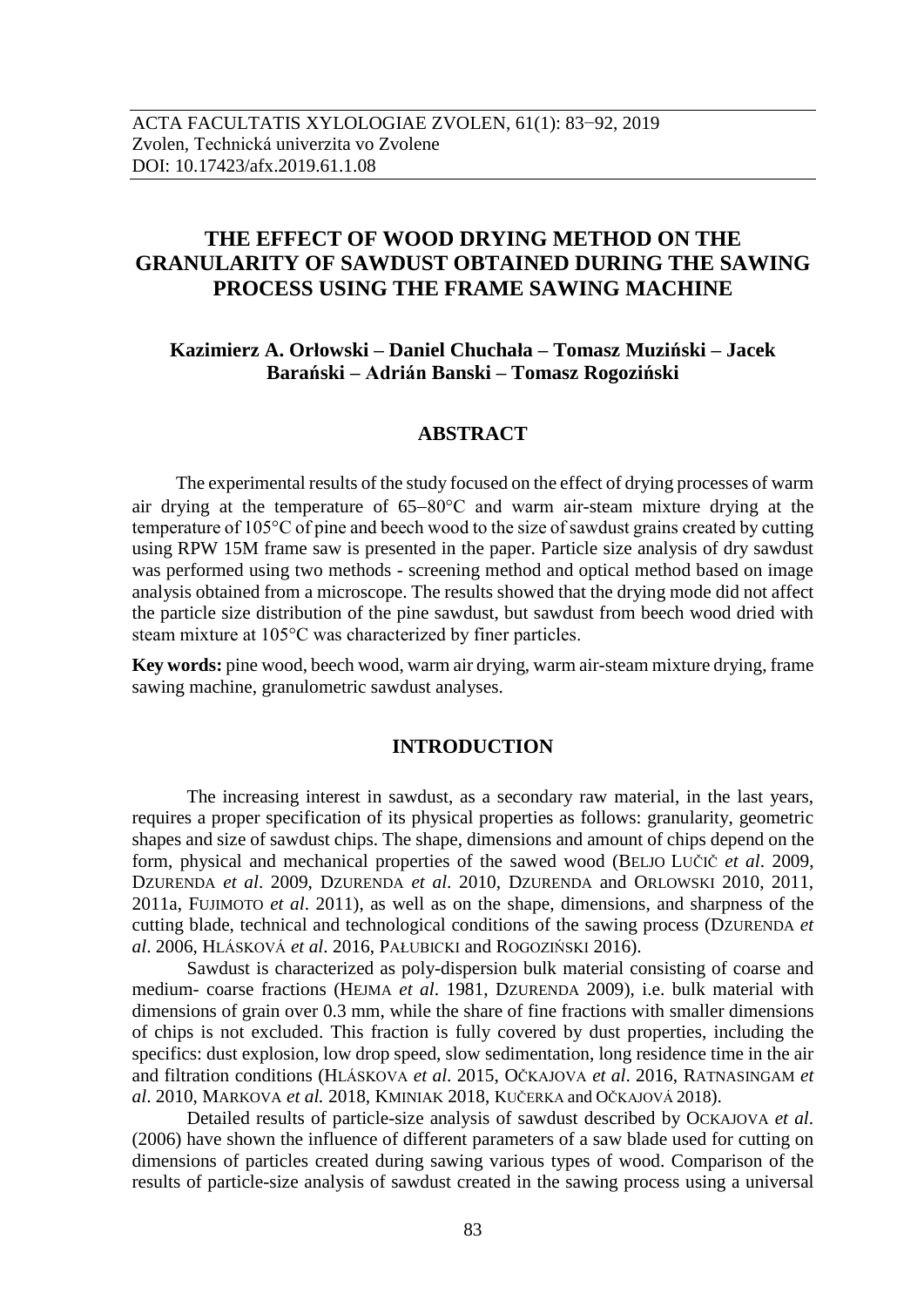# **THE EFFECT OF WOOD DRYING METHOD ON THE GRANULARITY OF SAWDUST OBTAINED DURING THE SAWING PROCESS USING THE FRAME SAWING MACHINE**

## **Kazimierz A. Orłowski – Daniel Chuchała – Tomasz Muziński – Jacek Barański – Adrián Banski – Tomasz Rogoziński**

## **ABSTRACT**

The experimental results of the study focused on the effect of drying processes of warm air drying at the temperature of  $65-80^{\circ}$ C and warm air-steam mixture drying at the temperature of 105°C of pine and beech wood to the size of sawdust grains created by cutting using RPW 15M frame saw is presented in the paper. Particle size analysis of dry sawdust was performed using two methods - screening method and optical method based on image analysis obtained from a microscope. The results showed that the drying mode did not affect the particle size distribution of the pine sawdust, but sawdust from beech wood dried with steam mixture at 105°C was characterized by finer particles.

**Key words:** pine wood, beech wood, warm air drying, warm air-steam mixture drying, frame sawing machine, granulometric sawdust analyses.

## **INTRODUCTION**

The increasing interest in sawdust, as a secondary raw material, in the last years, requires a proper specification of its physical properties as follows: granularity, geometric shapes and size of sawdust chips. The shape, dimensions and amount of chips depend on the form, physical and mechanical properties of the sawed wood (BELJO LUČIČ *et al*. 2009, DZURENDA *et al*. 2009, DZURENDA *et al*. 2010, DZURENDA and ORLOWSKI 2010, 2011, 2011a, FUJIMOTO *et al*. 2011), as well as on the shape, dimensions, and sharpness of the cutting blade, technical and technological conditions of the sawing process (DZURENDA *et al*. 2006, HLÁSKOVÁ *et al*. 2016, PAŁUBICKI and ROGOZIŃSKI 2016).

Sawdust is characterized as poly-dispersion bulk material consisting of coarse and medium- coarse fractions (HEJMA *et al*. 1981, DZURENDA 2009), i.e. bulk material with dimensions of grain over 0.3 mm, while the share of fine fractions with smaller dimensions of chips is not excluded. This fraction is fully covered by dust properties, including the specifics: dust explosion, low drop speed, slow sedimentation, long residence time in the air and filtration conditions (HLÁSKOVA *et al*. 2015, OČKAJOVA *et al*. 2016, RATNASINGAM *et al*. 2010, MARKOVA *et al.* 2018, KMINIAK 2018, KUČERKA and OČKAJOVÁ 2018).

Detailed results of particle-size analysis of sawdust described by OCKAJOVA *et al*. (2006) have shown the influence of different parameters of a saw blade used for cutting on dimensions of particles created during sawing various types of wood. Comparison of the results of particle-size analysis of sawdust created in the sawing process using a universal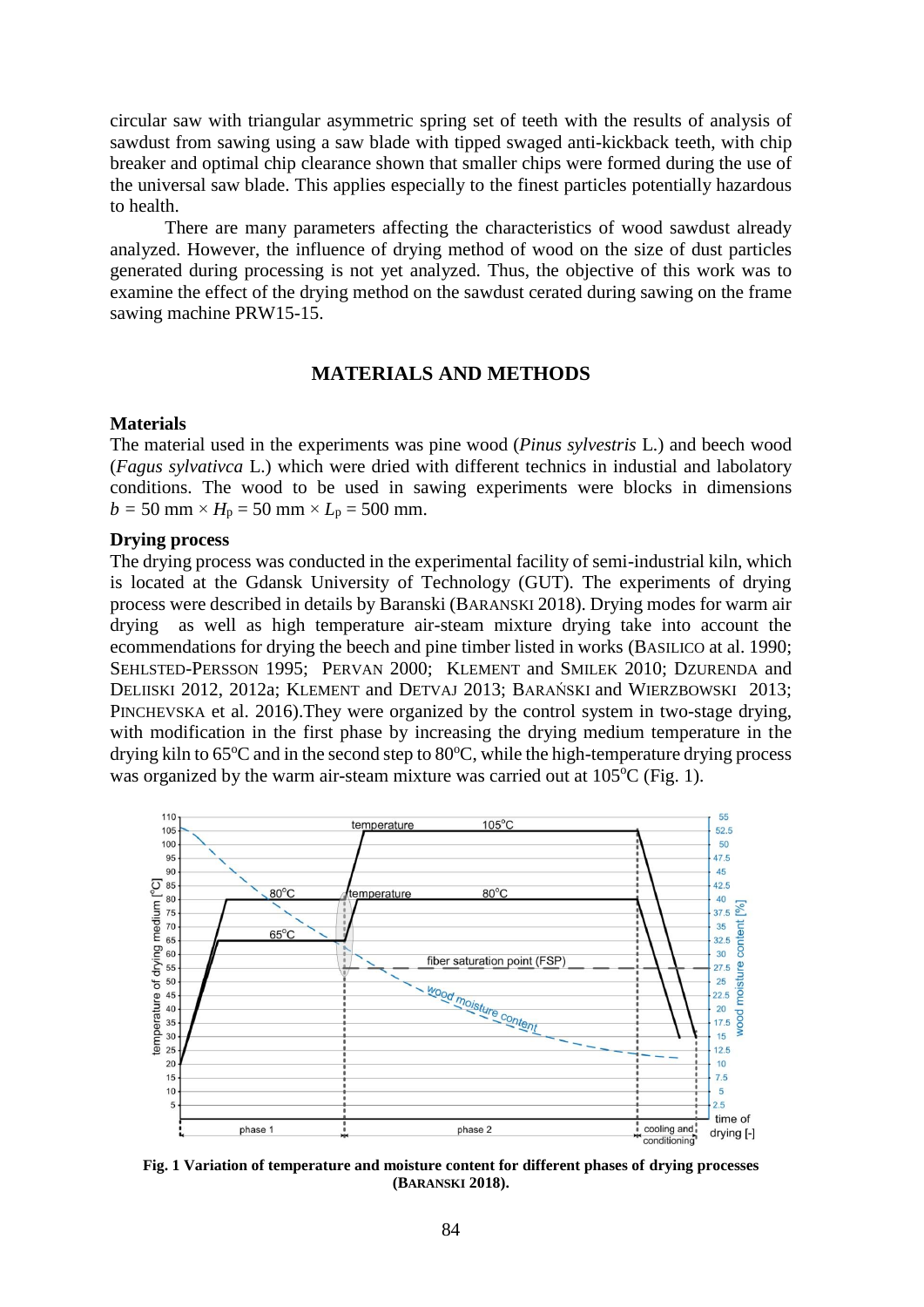circular saw with triangular asymmetric spring set of teeth with the results of analysis of sawdust from sawing using a saw blade with tipped swaged anti-kickback teeth, with chip breaker and optimal chip clearance shown that smaller chips were formed during the use of the universal saw blade. This applies especially to the finest particles potentially hazardous to health.

There are many parameters affecting the characteristics of wood sawdust already analyzed. However, the influence of drying method of wood on the size of dust particles generated during processing is not yet analyzed. Thus, the objective of this work was to examine the effect of the drying method on the sawdust cerated during sawing on the frame sawing machine PRW15-15.

## **MATERIALS AND METHODS**

#### **Materials**

The material used in the experiments was pine wood (*Pinus sylvestris* L.) and beech wood (*Fagus sylvativca* L.) which were dried with different technics in industial and labolatory conditions. The wood to be used in sawing experiments were blocks in dimensions  $b = 50$  mm  $\times H_p = 50$  mm  $\times L_p = 500$  mm.

#### **Drying process**

The drying process was conducted in the experimental facility of semi-industrial kiln, which is located at the Gdansk University of Technology (GUT). The experiments of drying process were described in details by Baranski (BARANSKI 2018). Drying modes for warm air drying as well as high temperature air-steam mixture drying take into account the ecommendations for drying the beech and pine timber listed in works (BASILICO at al. 1990; SEHLSTED-PERSSON 1995; PERVAN 2000; KLEMENT and SMILEK 2010; DZURENDA and DELIISKI 2012, 2012a; KLEMENT and DETVAJ 2013; BARAŃSKI and WIERZBOWSKI 2013; PINCHEVSKA et al. 2016).They were organized by the control system in two-stage drying, with modification in the first phase by increasing the drying medium temperature in the drying kiln to  $65^{\circ}$ C and in the second step to  $80^{\circ}$ C, while the high-temperature drying process was organized by the warm air-steam mixture was carried out at  $105^{\circ}$ C (Fig. 1).



**Fig. 1 Variation of temperature and moisture content for different phases of drying processes (BARANSKI 2018).**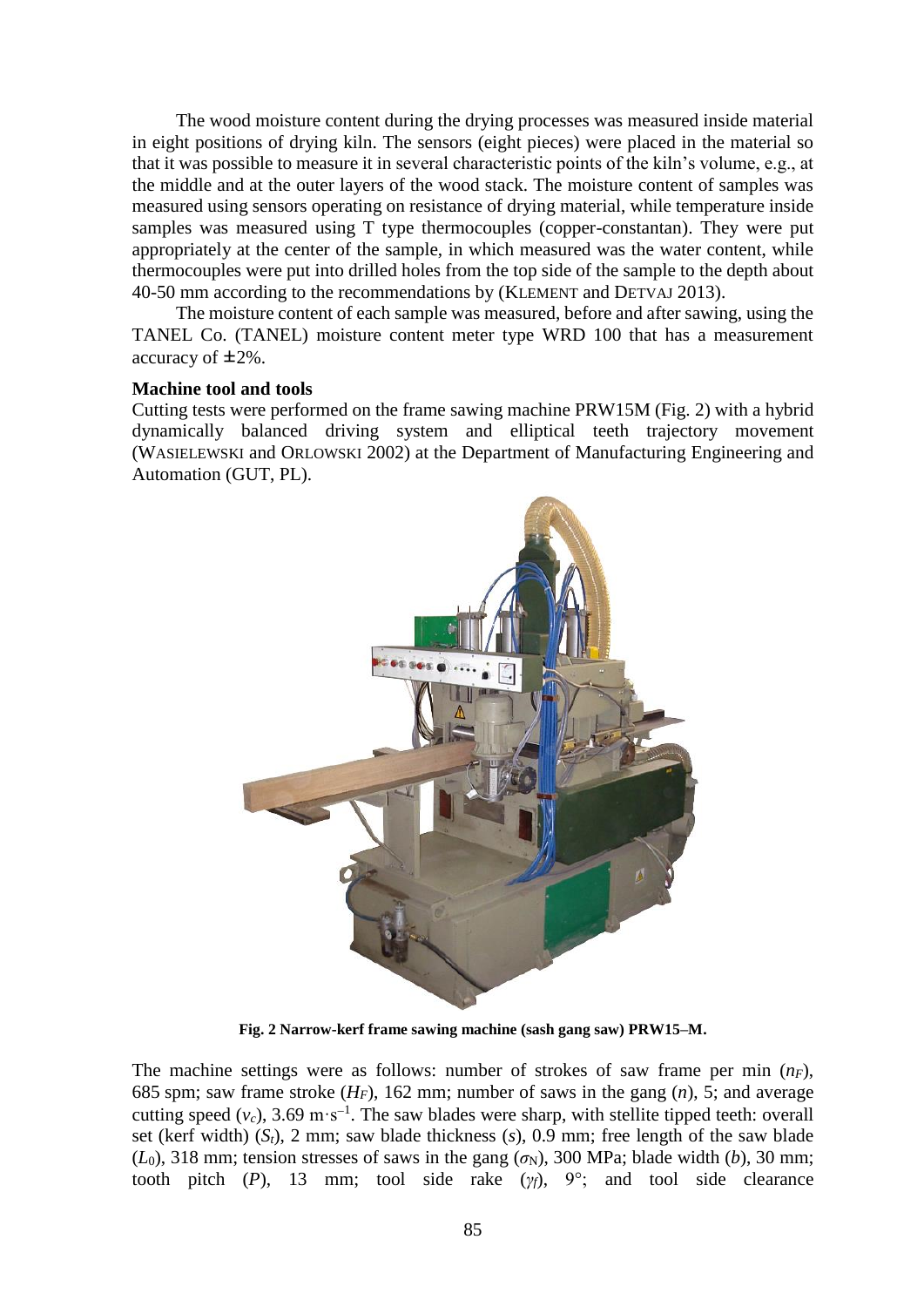The wood moisture content during the drying processes was measured inside material in eight positions of drying kiln. The sensors (eight pieces) were placed in the material so that it was possible to measure it in several characteristic points of the kiln's volume, e.g., at the middle and at the outer layers of the wood stack. The moisture content of samples was measured using sensors operating on resistance of drying material, while temperature inside samples was measured using T type thermocouples (copper-constantan). They were put appropriately at the center of the sample, in which measured was the water content, while thermocouples were put into drilled holes from the top side of the sample to the depth about 40-50 mm according to the recommendations by (KLEMENT and DETVAJ 2013).

The moisture content of each sample was measured, before and after sawing, using the TANEL Co. (TANEL) moisture content meter type WRD 100 that has a measurement accuracy of ±2%.

#### **Machine tool and tools**

Cutting tests were performed on the frame sawing machine PRW15M (Fig. 2) with a hybrid dynamically balanced driving system and elliptical teeth trajectory movement (WASIELEWSKI and ORLOWSKI 2002) at the Department of Manufacturing Engineering and Automation (GUT, PL).



**Fig. 2 Narrow-kerf frame sawing machine (sash gang saw) PRW15–M.**

The machine settings were as follows: number of strokes of saw frame per min (*nF*), 685 spm; saw frame stroke  $(H_F)$ , 162 mm; number of saws in the gang  $(n)$ , 5; and average cutting speed  $(v_c)$ , 3.69 m·s<sup>-1</sup>. The saw blades were sharp, with stellite tipped teeth: overall set (kerf width)  $(S_t)$ , 2 mm; saw blade thickness  $(s)$ ,  $(0.9)$  mm; free length of the saw blade  $(L_0)$ , 318 mm; tension stresses of saws in the gang  $(\sigma_N)$ , 300 MPa; blade width (*b*), 30 mm; tooth pitch (*P*), 13 mm; tool side rake ( $\gamma_f$ ), 9°; and tool side clearance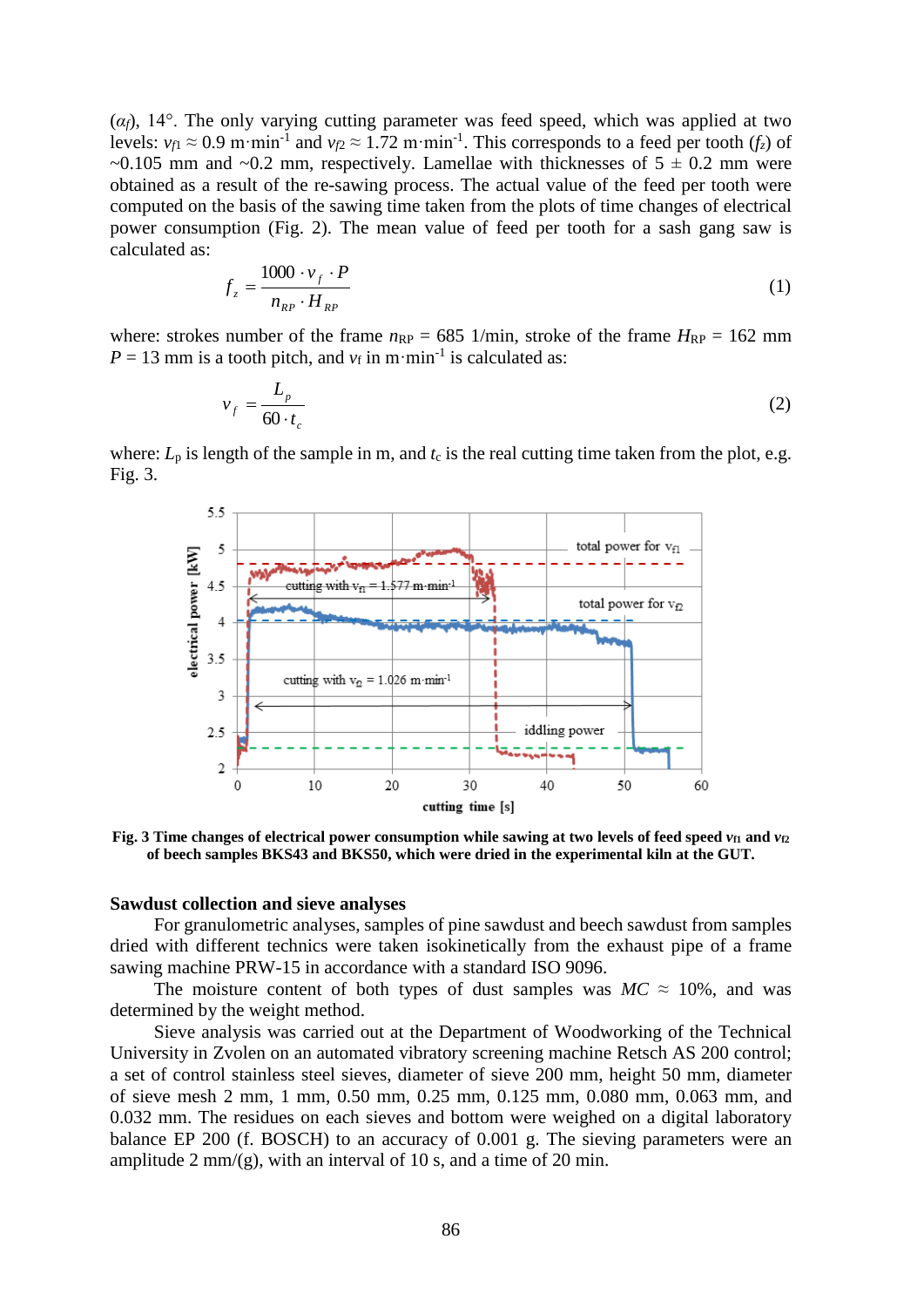$(\alpha_f)$ , 14°. The only varying cutting parameter was feed speed, which was applied at two levels:  $v_{f1} \approx 0.9$  m·min<sup>-1</sup> and  $v_{f2} \approx 1.72$  m·min<sup>-1</sup>. This corresponds to a feed per tooth ( $f_z$ ) of ~0.105 mm and ~0.2 mm, respectively. Lamellae with thicknesses of  $5 \pm 0.2$  mm were obtained as a result of the re-sawing process. The actual value of the feed per tooth were computed on the basis of the sawing time taken from the plots of time changes of electrical power consumption (Fig. 2). The mean value of feed per tooth for a sash gang saw is calculated as:

$$
f_z = \frac{1000 \cdot v_f \cdot P}{n_{RP} \cdot H_{RP}}
$$
 (1)

where: strokes number of the frame  $n_{RP} = 685$  1/min, stroke of the frame  $H_{RP} = 162$  mm  $P = 13$  mm is a tooth pitch, and  $v_f$  in m·min<sup>-1</sup> is calculated as:

$$
v_f = \frac{L_p}{60 \cdot t_c} \tag{2}
$$

where:  $L_p$  is length of the sample in m, and  $t_c$  is the real cutting time taken from the plot, e.g. Fig. 3.



Fig. 3 Time changes of electrical power consumption while sawing at two levels of feed speed  $v_{f1}$  and  $v_{f2}$ **of beech samples BKS43 and BKS50, which were dried in the experimental kiln at the GUT.**

#### **Sawdust collection and sieve analyses**

For granulometric analyses, samples of pine sawdust and beech sawdust from samples dried with different technics were taken isokinetically from the exhaust pipe of a frame sawing machine PRW-15 in accordance with a standard ISO 9096.

The moisture content of both types of dust samples was  $MC \approx 10\%$ , and was determined by the weight method.

Sieve analysis was carried out at the Department of Woodworking of the Technical University in Zvolen on an automated vibratory screening machine Retsch AS 200 control; a set of control stainless steel sieves, diameter of sieve 200 mm, height 50 mm, diameter of sieve mesh 2 mm, 1 mm, 0.50 mm, 0.25 mm, 0.125 mm, 0.080 mm, 0.063 mm, and 0.032 mm. The residues on each sieves and bottom were weighed on a digital laboratory balance EP 200 (f. BOSCH) to an accuracy of 0.001 g. The sieving parameters were an amplitude  $2 \text{ mm/(g)}$ , with an interval of 10 s, and a time of 20 min.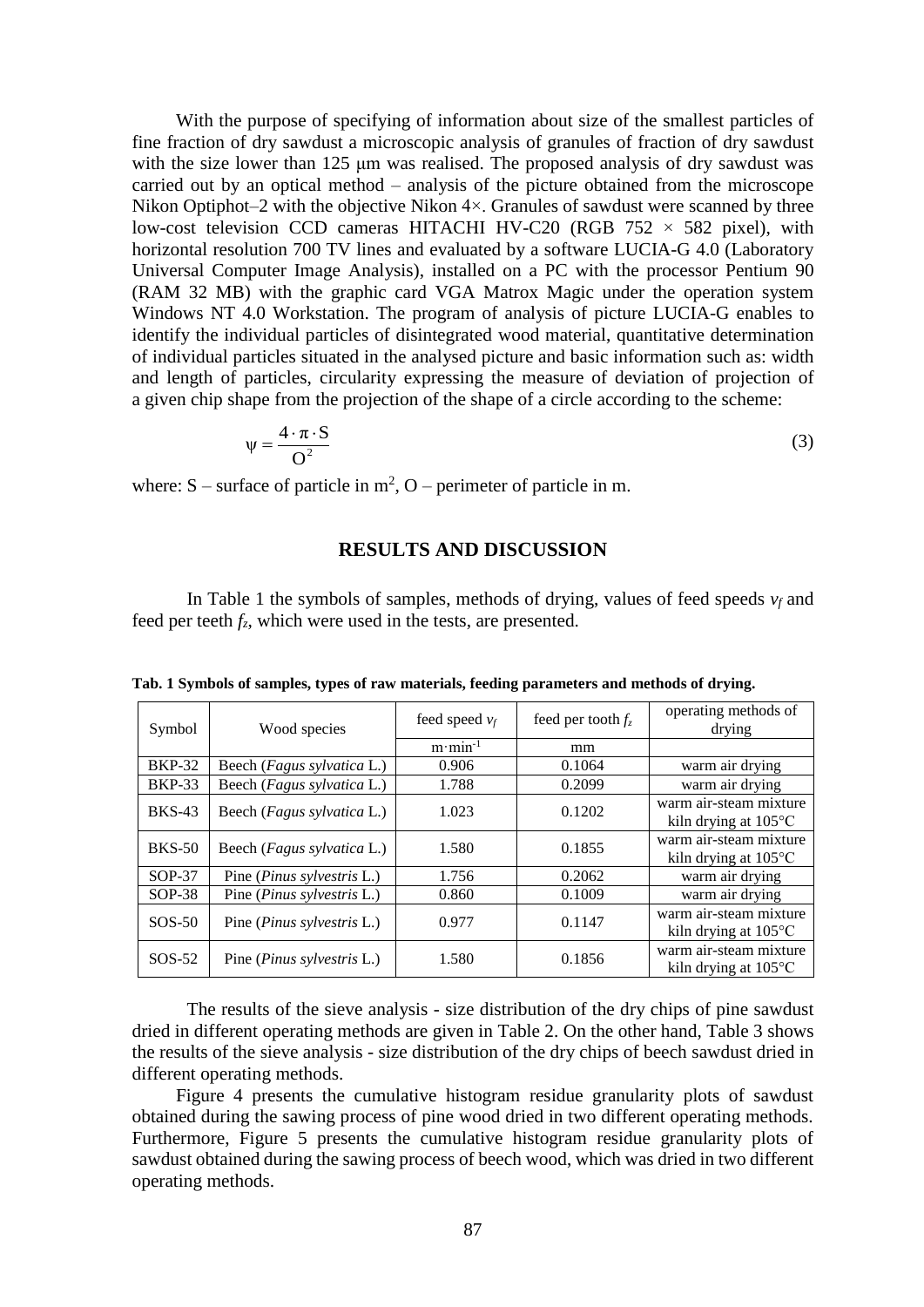With the purpose of specifying of information about size of the smallest particles of fine fraction of dry sawdust a microscopic analysis of granules of fraction of dry sawdust with the size lower than 125 µm was realised. The proposed analysis of dry sawdust was carried out by an optical method – analysis of the picture obtained from the microscope Nikon Optiphot–2 with the objective Nikon  $4 \times$ . Granules of sawdust were scanned by three low-cost television CCD cameras HITACHI HV-C20 (RGB  $752 \times 582$  pixel), with horizontal resolution 700 TV lines and evaluated by a software LUCIA-G 4.0 (Laboratory Universal Computer Image Analysis), installed on a PC with the processor Pentium 90 (RAM 32 MB) with the graphic card VGA Matrox Magic under the operation system Windows NT 4.0 Workstation. The program of analysis of picture LUCIA-G enables to identify the individual particles of disintegrated wood material, quantitative determination of individual particles situated in the analysed picture and basic information such as: width and length of particles, circularity expressing the measure of deviation of projection of a given chip shape from the projection of the shape of a circle according to the scheme:

$$
\psi = \frac{4 \cdot \pi \cdot S}{O^2} \tag{3}
$$

where:  $S$  – surface of particle in  $m^2$ ,  $O$  – perimeter of particle in m.

#### **RESULTS AND DISCUSSION**

In Table 1 the symbols of samples, methods of drying, values of feed speeds *v<sup>f</sup>* and feed per teeth  $f_z$ , which were used in the tests, are presented.

| Symbol        | Wood species                       | feed speed $v_f$   | feed per tooth $f_z$ | operating methods of<br>drying                           |
|---------------|------------------------------------|--------------------|----------------------|----------------------------------------------------------|
|               |                                    | $m \cdot min^{-1}$ | mm                   |                                                          |
| <b>BKP-32</b> | Beech ( <i>Fagus sylvatica</i> L.) | 0.906              | 0.1064               | warm air drying                                          |
| <b>BKP-33</b> | Beech (Fagus sylvatica L.)         | 1.788              | 0.2099               | warm air drying                                          |
| <b>BKS-43</b> | Beech ( <i>Fagus sylvatica</i> L.) | 1.023              | 0.1202               | warm air-steam mixture<br>kiln drying at $105^{\circ}$ C |
| <b>BKS-50</b> | Beech ( <i>Fagus sylvatica</i> L.) | 1.580              | 0.1855               | warm air-steam mixture<br>kiln drying at $105^{\circ}$ C |
| $SOP-37$      | Pine ( <i>Pinus sylvestris</i> L.) | 1.756              | 0.2062               | warm air drying                                          |
| $SOP-38$      | Pine ( <i>Pinus sylvestris</i> L.) | 0.860              | 0.1009               | warm air drying                                          |
| $SOS-50$      | Pine ( <i>Pinus sylvestris</i> L.) | 0.977              | 0.1147               | warm air-steam mixture<br>kiln drying at $105^{\circ}$ C |
| $SOS-52$      | Pine <i>(Pinus sylvestris L.)</i>  | 1.580              | 0.1856               | warm air-steam mixture<br>kiln drying at $105^{\circ}$ C |

**Tab. 1 Symbols of samples, types of raw materials, feeding parameters and methods of drying.**

The results of the sieve analysis - size distribution of the dry chips of pine sawdust dried in different operating methods are given in Table 2. On the other hand, Table 3 shows the results of the sieve analysis - size distribution of the dry chips of beech sawdust dried in different operating methods.

Figure 4 presents the cumulative histogram residue granularity plots of sawdust obtained during the sawing process of pine wood dried in two different operating methods. Furthermore, Figure 5 presents the cumulative histogram residue granularity plots of sawdust obtained during the sawing process of beech wood, which was dried in two different operating methods.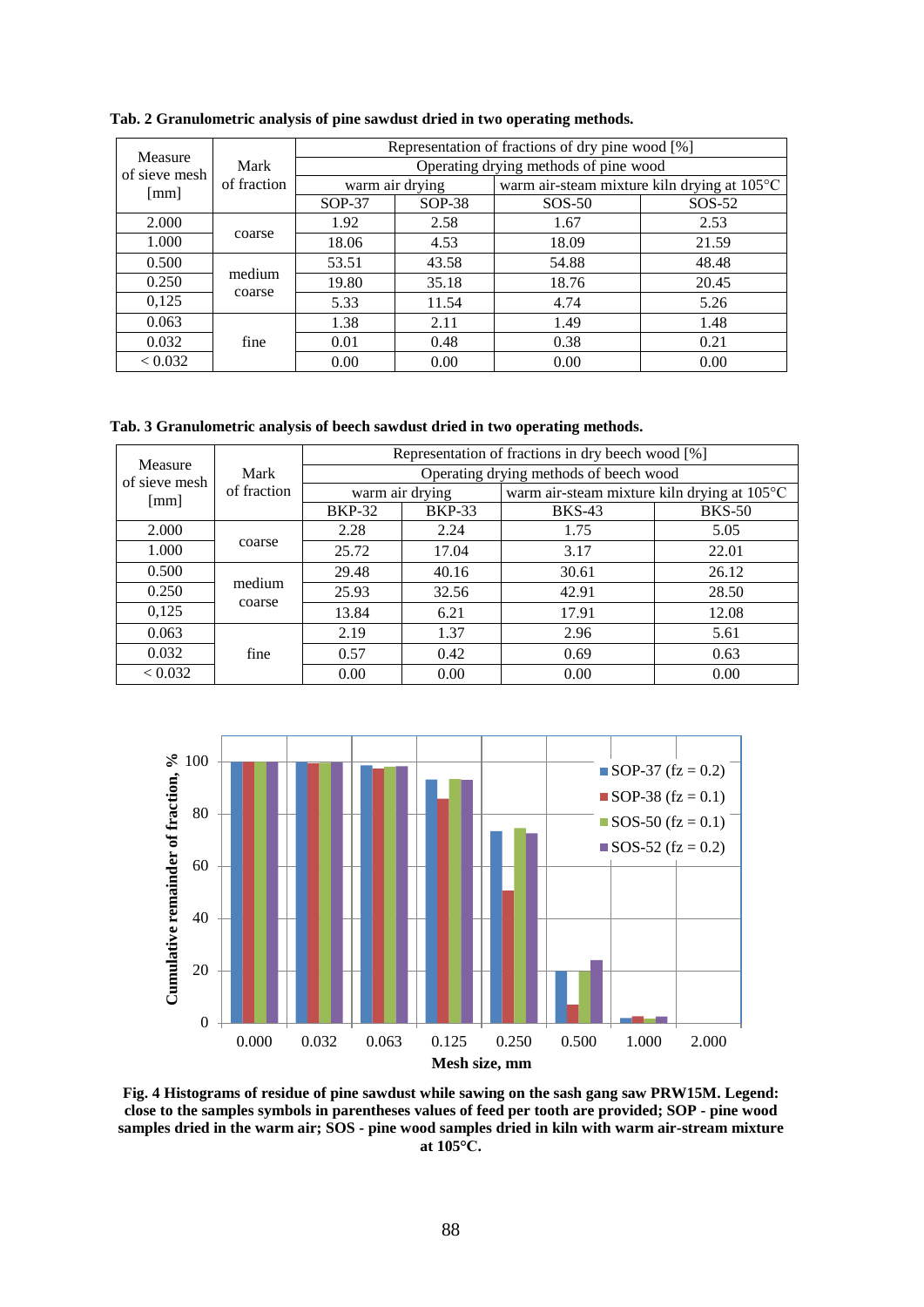|                          | Mark<br>of fraction | Representation of fractions of dry pine wood [%] |          |                                             |          |
|--------------------------|---------------------|--------------------------------------------------|----------|---------------------------------------------|----------|
| Measure<br>of sieve mesh |                     | Operating drying methods of pine wood            |          |                                             |          |
| [mm]                     |                     | warm air drying                                  |          | warm air-steam mixture kiln drying at 105°C |          |
|                          |                     | $SOP-37$                                         | $SOP-38$ | $SOS-50$                                    | $SOS-52$ |
| 2.000                    | coarse              | 1.92                                             | 2.58     | 1.67                                        | 2.53     |
| 1.000                    |                     | 18.06                                            | 4.53     | 18.09                                       | 21.59    |
| 0.500                    | medium<br>coarse    | 53.51                                            | 43.58    | 54.88                                       | 48.48    |
| 0.250                    |                     | 19.80                                            | 35.18    | 18.76                                       | 20.45    |
| 0,125                    |                     | 5.33                                             | 11.54    | 4.74                                        | 5.26     |
| 0.063                    | fine                | 1.38                                             | 2.11     | 1.49                                        | 1.48     |
| 0.032                    |                     | 0.01                                             | 0.48     | 0.38                                        | 0.21     |
| < 0.032                  |                     | 0.00                                             | 0.00     | 0.00                                        | 0.00     |

#### **Tab. 2 Granulometric analysis of pine sawdust dried in two operating methods.**

**Tab. 3 Granulometric analysis of beech sawdust dried in two operating methods.**

| Measure              | Mark<br>of fraction | Representation of fractions in dry beech wood [%] |               |                                             |               |
|----------------------|---------------------|---------------------------------------------------|---------------|---------------------------------------------|---------------|
| of sieve mesh        |                     | Operating drying methods of beech wood            |               |                                             |               |
| $\lceil$ mm $\rceil$ |                     | warm air drying                                   |               | warm air-steam mixture kiln drying at 105°C |               |
|                      |                     | <b>BKP-32</b>                                     | <b>BKP-33</b> | <b>BKS-43</b>                               | <b>BKS-50</b> |
| 2.000                | coarse              | 2.28                                              | 2.24          | 1.75                                        | 5.05          |
| 1.000                |                     | 25.72                                             | 17.04         | 3.17                                        | 22.01         |
| 0.500                | medium<br>coarse    | 29.48                                             | 40.16         | 30.61                                       | 26.12         |
| 0.250                |                     | 25.93                                             | 32.56         | 42.91                                       | 28.50         |
| 0,125                |                     | 13.84                                             | 6.21          | 17.91                                       | 12.08         |
| 0.063                | fine                | 2.19                                              | 1.37          | 2.96                                        | 5.61          |
| 0.032                |                     | 0.57                                              | 0.42          | 0.69                                        | 0.63          |
| < 0.032              |                     | 0.00                                              | 0.00          | 0.00                                        | 0.00          |



**Fig. 4 Histograms of residue of pine sawdust while sawing on the sash gang saw PRW15M. Legend: close to the samples symbols in parentheses values of feed per tooth are provided; SOP - pine wood samples dried in the warm air; SOS - pine wood samples dried in kiln with warm air-stream mixture at 105°C.**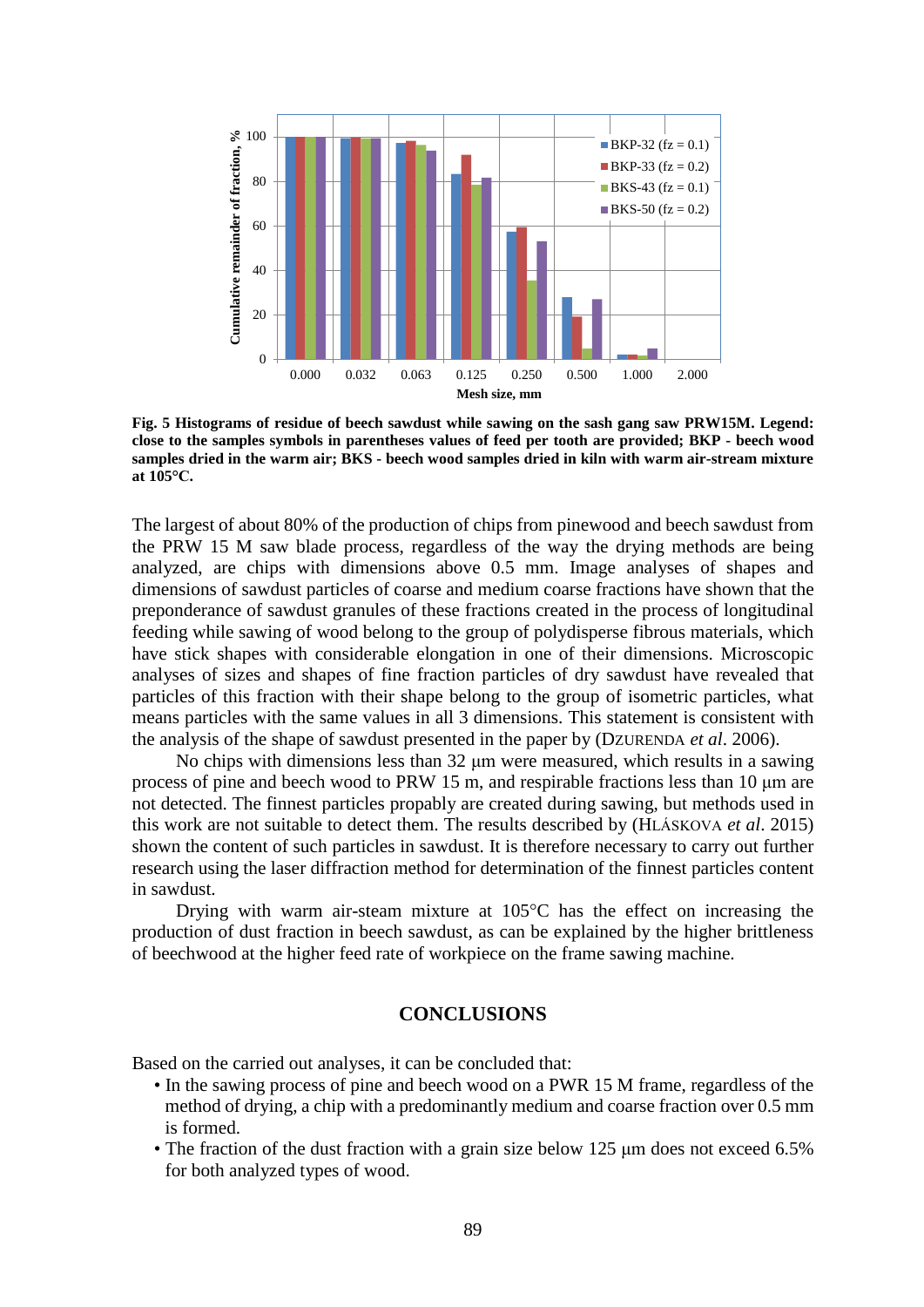

**Fig. 5 Histograms of residue of beech sawdust while sawing on the sash gang saw PRW15M. Legend: close to the samples symbols in parentheses values of feed per tooth are provided; BKP - beech wood samples dried in the warm air; BKS - beech wood samples dried in kiln with warm air-stream mixture at 105°C.**

The largest of about 80% of the production of chips from pinewood and beech sawdust from the PRW 15 M saw blade process, regardless of the way the drying methods are being analyzed, are chips with dimensions above 0.5 mm. Image analyses of shapes and dimensions of sawdust particles of coarse and medium coarse fractions have shown that the preponderance of sawdust granules of these fractions created in the process of longitudinal feeding while sawing of wood belong to the group of polydisperse fibrous materials, which have stick shapes with considerable elongation in one of their dimensions. Microscopic analyses of sizes and shapes of fine fraction particles of dry sawdust have revealed that particles of this fraction with their shape belong to the group of isometric particles, what means particles with the same values in all 3 dimensions. This statement is consistent with the analysis of the shape of sawdust presented in the paper by (DZURENDA *et al*. 2006).

No chips with dimensions less than 32 μm were measured, which results in a sawing process of pine and beech wood to PRW 15 m, and respirable fractions less than 10 μm are not detected. The finnest particles propably are created during sawing, but methods used in this work are not suitable to detect them. The results described by (HLÁSKOVA *et al*. 2015) shown the content of such particles in sawdust. It is therefore necessary to carry out further research using the laser diffraction method for determination of the finnest particles content in sawdust.

Drying with warm air-steam mixture at  $105^{\circ}$ C has the effect on increasing the production of dust fraction in beech sawdust, as can be explained by the higher brittleness of beechwood at the higher feed rate of workpiece on the frame sawing machine.

## **CONCLUSIONS**

Based on the carried out analyses, it can be concluded that:

- In the sawing process of pine and beech wood on a PWR 15 M frame, regardless of the method of drying, a chip with a predominantly medium and coarse fraction over 0.5 mm is formed.
- The fraction of the dust fraction with a grain size below 125 μm does not exceed 6.5% for both analyzed types of wood.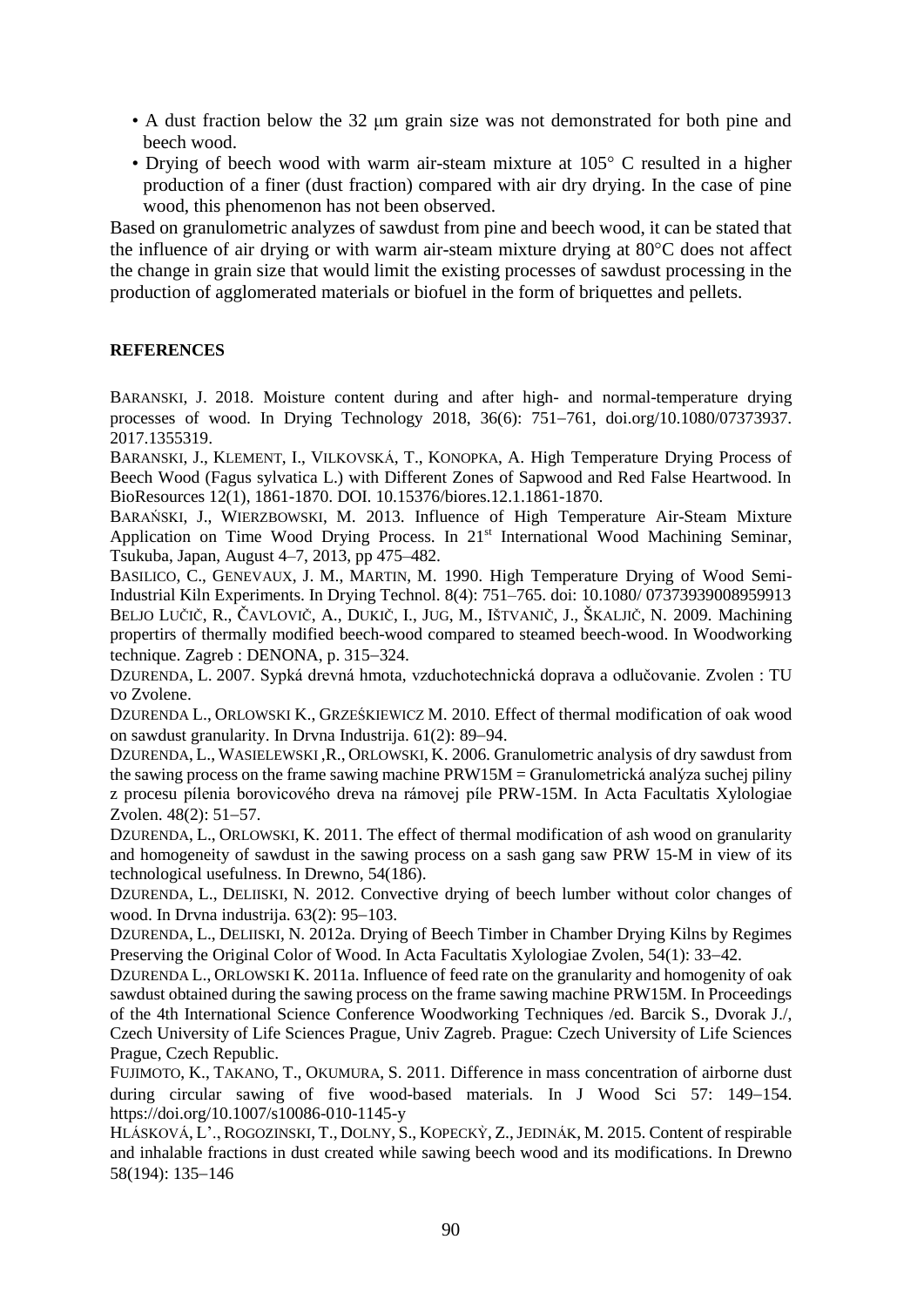- A dust fraction below the 32 μm grain size was not demonstrated for both pine and beech wood.
- Drying of beech wood with warm air-steam mixture at 105° C resulted in a higher production of a finer (dust fraction) compared with air dry drying. In the case of pine wood, this phenomenon has not been observed.

Based on granulometric analyzes of sawdust from pine and beech wood, it can be stated that the influence of air drying or with warm air-steam mixture drying at 80°C does not affect the change in grain size that would limit the existing processes of sawdust processing in the production of agglomerated materials or biofuel in the form of briquettes and pellets.

## **REFERENCES**

BARANSKI, J. 2018. Moisture content during and after high- and normal-temperature drying processes of wood. In Drying Technology 2018, 36(6):  $751-761$ , doi.org/10.1080/07373937. 2017.1355319.

BARANSKI, J., KLEMENT, I., VILKOVSKÁ, T., KONOPKA, A. High Temperature Drying Process of Beech Wood (Fagus sylvatica L.) with Different Zones of Sapwood and Red False Heartwood. In BioResources 12(1), 1861-1870. DOI. 10.15376/biores.12.1.1861-1870.

BARAŃSKI, J., WIERZBOWSKI, M. 2013. Influence of High Temperature Air-Steam Mixture Application on Time Wood Drying Process. In 21<sup>st</sup> International Wood Machining Seminar, Tsukuba, Japan, August 4–7, 2013, pp 475–482.

BASILICO, C., GENEVAUX, J. M., MARTIN, M. 1990. High Temperature Drying of Wood Semi-Industrial Kiln Experiments. In Drying Technol. 8(4): 751–765. doi: 10.1080/ 07373939008959913 BELJO LUČIČ, R., ČAVLOVIČ, A., DUKIČ, I., JUG, M., IŠTVANIČ, J., ŠKALJIČ, N. 2009. Machining propertirs of thermally modified beech-wood compared to steamed beech-wood. In Woodworking technique. Zagreb : DENONA, p.  $315-324$ .

DZURENDA, L. 2007. Sypká drevná hmota, vzduchotechnická doprava a odlučovanie. Zvolen : TU vo Zvolene.

DZURENDA L., ORLOWSKI K., GRZEŚKIEWICZ M. 2010. Effect of thermal modification of oak wood on sawdust granularity. In Drvna Industrija.  $61(2)$ : 89–94.

DZURENDA, L., WASIELEWSKI, R., ORLOWSKI, K. 2006. Granulometric analysis of dry sawdust from the sawing process on the frame sawing machine  $PRW15M =$ Granulometrická analýza suchej piliny z procesu pílenia borovicového dreva na rámovej píle PRW-15M. In Acta Facultatis Xylologiae Zvolen.  $48(2)$ :  $51-57$ .

DZURENDA, L., ORLOWSKI, K. 2011. The effect of thermal modification of ash wood on granularity and homogeneity of sawdust in the sawing process on a sash gang saw PRW 15-M in view of its technological usefulness. In Drewno, 54(186).

DZURENDA, L., DELIISKI, N. 2012. Convective drying of beech lumber without color changes of wood. In Drvna industrija.  $63(2)$ :  $95-103$ .

DZURENDA, L., DELIISKI, N. 2012a. Drying of Beech Timber in Chamber Drying Kilns by Regimes Preserving the Original Color of Wood. In Acta Facultatis Xylologiae Zvolen, 54(1): 33–42.

DZURENDA L., ORLOWSKI K. 2011a. Influence of feed rate on the granularity and homogenity of oak sawdust obtained during the sawing process on the frame sawing machine PRW15M. In Proceedings of the 4th International Science Conference Woodworking Techniques /ed. Barcik S., Dvorak J./, Czech University of Life Sciences Prague, Univ Zagreb. Prague: Czech University of Life Sciences Prague, Czech Republic.

FUJIMOTO, K., TAKANO, T., OKUMURA, S. 2011. Difference in mass concentration of airborne dust during circular sawing of five wood-based materials. In J Wood Sci  $57: 149-154$ . https://doi.org/10.1007/s10086-010-1145-y

HLÁSKOVÁ, L'., ROGOZINSKI, T., DOLNY, S., KOPECKÝ, Z., JEDINÁK, M. 2015. Content of respirable and inhalable fractions in dust created while sawing beech wood and its modifications. In Drewno 58(194): 135-146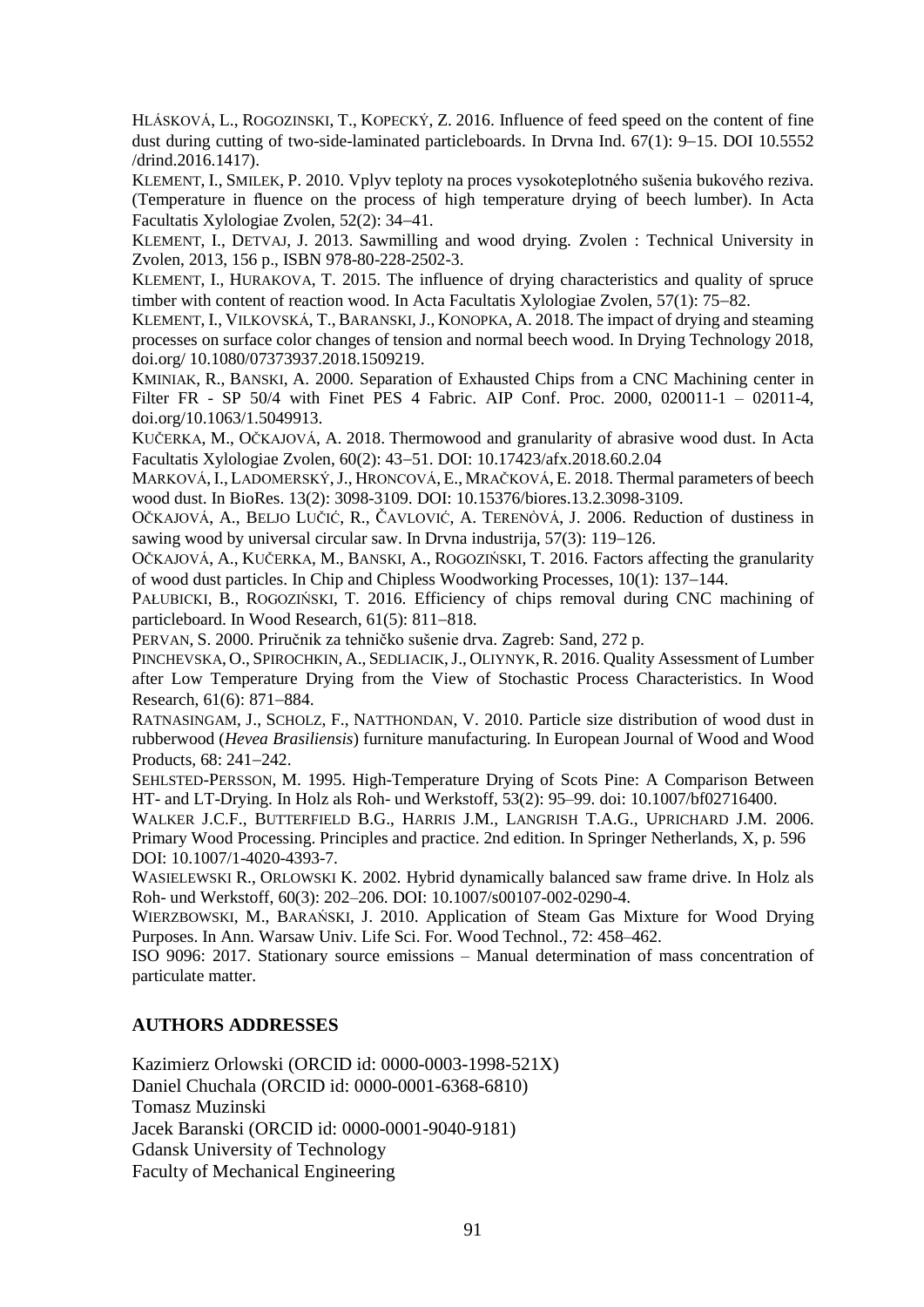HLÁSKOVÁ, L., ROGOZINSKI, T., KOPECKÝ, Z. 2016. Influence of feed speed on the content of fine dust during cutting of two-side-laminated particleboards. In Drvna Ind.  $67(1)$ :  $9-15$ . DOI 10.5552 /drind.2016.1417).

KLEMENT, I., SMILEK, P. 2010. Vplyv teploty na proces vysokoteplotného sušenia bukového reziva. (Temperature in fluence on the process of high temperature drying of beech lumber). In Acta Facultatis Xylologiae Zvolen, 52(2): 34–41.

KLEMENT, I., DETVAJ, J. 2013. Sawmilling and wood drying. Zvolen : Technical University in Zvolen, 2013, 156 p., ISBN 978-80-228-2502-3.

KLEMENT, I., HURAKOVA, T. 2015. The influence of drying characteristics and quality of spruce timber with content of reaction wood. In Acta Facultatis Xylologiae Zvolen,  $57(1)$ :  $75-82$ .

KLEMENT, I., VILKOVSKÁ, T., BARANSKI,J., KONOPKA, A. 2018. The impact of drying and steaming processes on surface color changes of tension and normal beech wood. In Drying Technology 2018, doi.org/ 10.1080/07373937.2018.1509219.

KMINIAK, R., BANSKI, A. 2000. Separation of Exhausted Chips from a CNC Machining center in Filter FR - SP 50/4 with Finet PES 4 Fabric. AIP Conf. Proc. 2000, 020011-1 – 02011-4, doi.org/10.1063/1.5049913.

KUČERKA, M., OČKAJOVÁ, A. 2018. Thermowood and granularity of abrasive wood dust. In Acta Facultatis Xylologiae Zvolen, 60(2): 4351. DOI: 10.17423/afx.2018.60.2.04

MARKOVÁ, I., LADOMERSKÝ,J., HRONCOVÁ, E., MRAČKOVÁ, E. 2018. Thermal parameters of beech wood dust. In BioRes. 13(2): 3098-3109. DOI: 10.15376/biores.13.2.3098-3109.

OČKAJOVÁ, A., BELJO LUČIĆ, R., ČAVLOVIĆ, A. TERENÒVÁ, J. 2006. Reduction of dustiness in sawing wood by universal circular saw. In Drvna industrija,  $57(3)$ : 119–126.

OČKAJOVÁ, A., KUČERKA, M., BANSKI, A., ROGOZIŃSKI, T. 2016. Factors affecting the granularity of wood dust particles. In Chip and Chipless Woodworking Processes,  $10(1)$ : 137–144.

PAŁUBICKI, B., ROGOZIŃSKI, T. 2016. Efficiency of chips removal during CNC machining of particleboard. In Wood Research,  $61(5)$ :  $811-818$ .

PERVAN, S. 2000. Priručnik za tehničko sušenie drva. Zagreb: Sand, 272 p.

PINCHEVSKA, O., SPIROCHKIN, A., SEDLIACIK, J., OLIYNYK, R. 2016. Quality Assessment of Lumber after Low Temperature Drying from the View of Stochastic Process Characteristics. In Wood Research, 61(6): 871-884.

RATNASINGAM, J., SCHOLZ, F., NATTHONDAN, V. 2010. Particle size distribution of wood dust in rubberwood (*Hevea Brasiliensis*) furniture manufacturing. In European Journal of Wood and Wood Products,  $68: 241 - 242$ .

SEHLSTED-PERSSON, M. 1995. High-Temperature Drying of Scots Pine: A Comparison Between HT- and LT-Drying. In Holz als Roh- und Werkstoff, 53(2): 95–99. doi: 10.1007/bf02716400.

WALKER J.C.F., BUTTERFIELD B.G., HARRIS J.M., LANGRISH T.A.G., UPRICHARD J.M. 2006. Primary Wood Processing. Principles and practice. 2nd edition. In Springer Netherlands, X, p. 596 DOI: 10.1007/1-4020-4393-7.

WASIELEWSKI R., ORLOWSKI K. 2002. Hybrid dynamically balanced saw frame drive. In Holz als Roh- und Werkstoff, 60(3): 202–206. DOI: 10.1007/s00107-002-0290-4.

WIERZBOWSKI, M., BARAŃSKI, J. 2010. Application of Steam Gas Mixture for Wood Drying Purposes. In Ann. Warsaw Univ. Life Sci. For. Wood Technol., 72: 458–462.

ISO 9096: 2017. Stationary source emissions – Manual determination of mass concentration of particulate matter.

## **AUTHORS ADDRESSES**

Kazimierz Orlowski (ORCID id: [0000-0003-1998-521X\)](https://orcid.org/0000-0003-1998-521X?lang=en) Daniel Chuchala (ORCID id: 0000-0001-6368-6810) Tomasz Muzinski Jacek Baranski (ORCID id: 0000-0001-9040-9181) Gdansk University of Technology Faculty of Mechanical Engineering